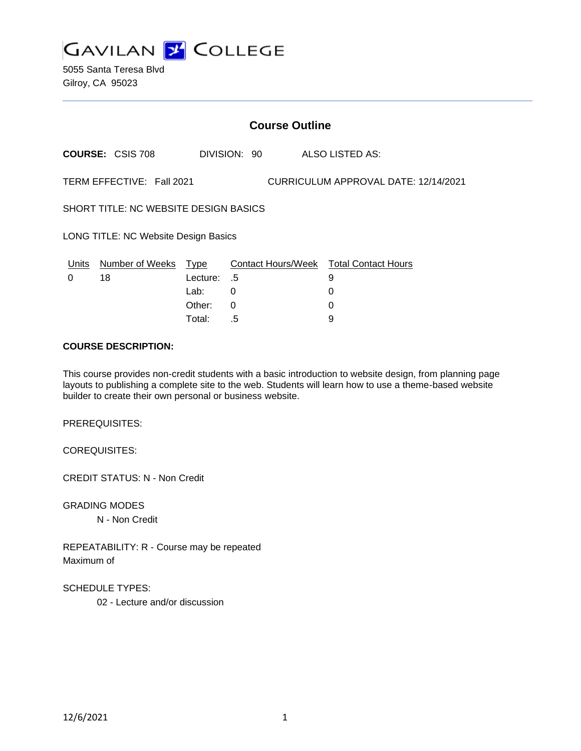

5055 Santa Teresa Blvd Gilroy, CA 95023

| <b>Course Outline</b>                                             |                         |          |              |  |                                        |
|-------------------------------------------------------------------|-------------------------|----------|--------------|--|----------------------------------------|
|                                                                   | <b>COURSE: CSIS 708</b> |          | DIVISION: 90 |  | ALSO LISTED AS:                        |
| TERM EFFECTIVE: Fall 2021<br>CURRICULUM APPROVAL DATE: 12/14/2021 |                         |          |              |  |                                        |
| <b>SHORT TITLE: NC WEBSITE DESIGN BASICS</b>                      |                         |          |              |  |                                        |
| LONG TITLE: NC Website Design Basics                              |                         |          |              |  |                                        |
| Units                                                             | Number of Weeks         | Type     |              |  | Contact Hours/Week Total Contact Hours |
| 0                                                                 | 18                      | Lecture: | - .5         |  | 9                                      |
|                                                                   |                         | Lab:     | 0            |  | 0                                      |
|                                                                   |                         | Other:   | 0            |  | 0                                      |
|                                                                   |                         | Total:   | .5           |  | 9                                      |

### **COURSE DESCRIPTION:**

This course provides non-credit students with a basic introduction to website design, from planning page layouts to publishing a complete site to the web. Students will learn how to use a theme-based website builder to create their own personal or business website.

PREREQUISITES:

COREQUISITES:

CREDIT STATUS: N - Non Credit

GRADING MODES N - Non Credit

REPEATABILITY: R - Course may be repeated Maximum of

SCHEDULE TYPES: 02 - Lecture and/or discussion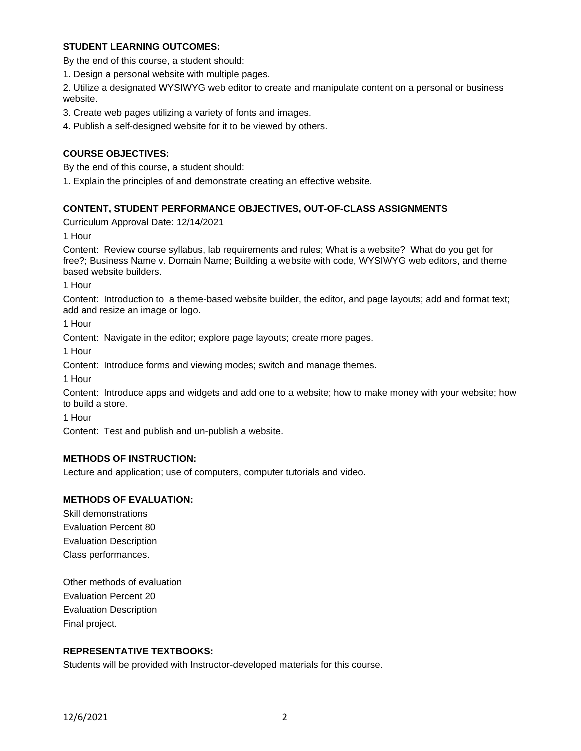## **STUDENT LEARNING OUTCOMES:**

By the end of this course, a student should:

1. Design a personal website with multiple pages.

2. Utilize a designated WYSIWYG web editor to create and manipulate content on a personal or business website.

3. Create web pages utilizing a variety of fonts and images.

4. Publish a self-designed website for it to be viewed by others.

## **COURSE OBJECTIVES:**

By the end of this course, a student should:

1. Explain the principles of and demonstrate creating an effective website.

## **CONTENT, STUDENT PERFORMANCE OBJECTIVES, OUT-OF-CLASS ASSIGNMENTS**

Curriculum Approval Date: 12/14/2021

1 Hour

Content: Review course syllabus, lab requirements and rules; What is a website? What do you get for free?; Business Name v. Domain Name; Building a website with code, WYSIWYG web editors, and theme based website builders.

1 Hour

Content: Introduction to a theme-based website builder, the editor, and page layouts; add and format text; add and resize an image or logo.

1 Hour

Content: Navigate in the editor; explore page layouts; create more pages.

1 Hour

Content: Introduce forms and viewing modes; switch and manage themes.

1 Hour

Content: Introduce apps and widgets and add one to a website; how to make money with your website; how to build a store.

1 Hour

Content: Test and publish and un-publish a website.

# **METHODS OF INSTRUCTION:**

Lecture and application; use of computers, computer tutorials and video.

### **METHODS OF EVALUATION:**

Skill demonstrations Evaluation Percent 80 Evaluation Description Class performances.

Other methods of evaluation Evaluation Percent 20 Evaluation Description Final project.

### **REPRESENTATIVE TEXTBOOKS:**

Students will be provided with Instructor-developed materials for this course.